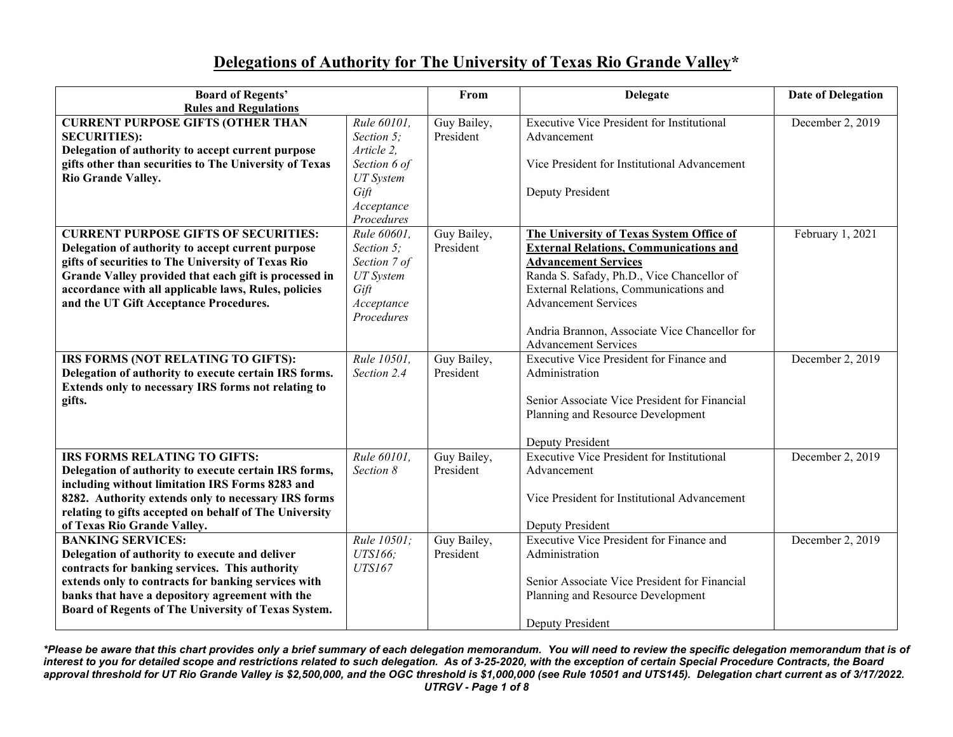## **Delegations of Authority for The University of Texas Rio Grande Valley\***

| <b>Board of Regents'</b>                               |                  | From        | <b>Delegate</b>                                   | <b>Date of Delegation</b> |
|--------------------------------------------------------|------------------|-------------|---------------------------------------------------|---------------------------|
| <b>Rules and Regulations</b>                           |                  |             |                                                   |                           |
| <b>CURRENT PURPOSE GIFTS (OTHER THAN</b>               | Rule 60101.      | Guy Bailey, | <b>Executive Vice President for Institutional</b> | December 2, 2019          |
| <b>SECURITIES:</b>                                     | Section 5;       | President   | Advancement                                       |                           |
| Delegation of authority to accept current purpose      | Article 2,       |             |                                                   |                           |
| gifts other than securities to The University of Texas | Section 6 of     |             | Vice President for Institutional Advancement      |                           |
| Rio Grande Valley.                                     | <b>UT</b> System |             |                                                   |                           |
|                                                        | Gift             |             | Deputy President                                  |                           |
|                                                        | Acceptance       |             |                                                   |                           |
|                                                        | Procedures       |             |                                                   |                           |
| <b>CURRENT PURPOSE GIFTS OF SECURITIES:</b>            | Rule 60601.      | Guy Bailey, | The University of Texas System Office of          | February 1, 2021          |
| Delegation of authority to accept current purpose      | Section 5;       | President   | <b>External Relations, Communications and</b>     |                           |
| gifts of securities to The University of Texas Rio     | Section 7 of     |             | <b>Advancement Services</b>                       |                           |
| Grande Valley provided that each gift is processed in  | <b>UT</b> System |             | Randa S. Safady, Ph.D., Vice Chancellor of        |                           |
| accordance with all applicable laws, Rules, policies   | Gift             |             | External Relations, Communications and            |                           |
| and the UT Gift Acceptance Procedures.                 | Acceptance       |             | <b>Advancement Services</b>                       |                           |
|                                                        | Procedures       |             |                                                   |                           |
|                                                        |                  |             | Andria Brannon, Associate Vice Chancellor for     |                           |
|                                                        |                  |             | <b>Advancement Services</b>                       |                           |
| IRS FORMS (NOT RELATING TO GIFTS):                     | Rule 10501,      | Guy Bailey, | Executive Vice President for Finance and          | December 2, 2019          |
| Delegation of authority to execute certain IRS forms.  | Section 2.4      | President   | Administration                                    |                           |
| Extends only to necessary IRS forms not relating to    |                  |             |                                                   |                           |
| gifts.                                                 |                  |             | Senior Associate Vice President for Financial     |                           |
|                                                        |                  |             | Planning and Resource Development                 |                           |
|                                                        |                  |             | Deputy President                                  |                           |
| <b>IRS FORMS RELATING TO GIFTS:</b>                    | Rule 60101,      | Guy Bailey, | <b>Executive Vice President for Institutional</b> | December 2, 2019          |
| Delegation of authority to execute certain IRS forms,  | Section 8        | President   | Advancement                                       |                           |
| including without limitation IRS Forms 8283 and        |                  |             |                                                   |                           |
| 8282. Authority extends only to necessary IRS forms    |                  |             | Vice President for Institutional Advancement      |                           |
| relating to gifts accepted on behalf of The University |                  |             |                                                   |                           |
| of Texas Rio Grande Valley.                            |                  |             | Deputy President                                  |                           |
| <b>BANKING SERVICES:</b>                               | Rule 10501;      | Guy Bailey, | <b>Executive Vice President for Finance and</b>   | December 2, 2019          |
| Delegation of authority to execute and deliver         | UTS166:          | President   | Administration                                    |                           |
| contracts for banking services. This authority         | <b>UTS167</b>    |             |                                                   |                           |
| extends only to contracts for banking services with    |                  |             | Senior Associate Vice President for Financial     |                           |
| banks that have a depository agreement with the        |                  |             | Planning and Resource Development                 |                           |
| Board of Regents of The University of Texas System.    |                  |             |                                                   |                           |
|                                                        |                  |             | <b>Deputy President</b>                           |                           |

*\*Please be aware that this chart provides only a brief summary of each delegation memorandum. You will need to review the specific delegation memorandum that is of interest to you for detailed scope and restrictions related to such delegation. As of 3-25-2020, with the exception of certain Special Procedure Contracts, the Board approval threshold for UT Rio Grande Valley is \$2,500,000, and the OGC threshold is \$1,000,000 (see Rule 10501 and UTS145). Delegation chart current as of 3/17/2022. UTRGV - Page 1 of 8*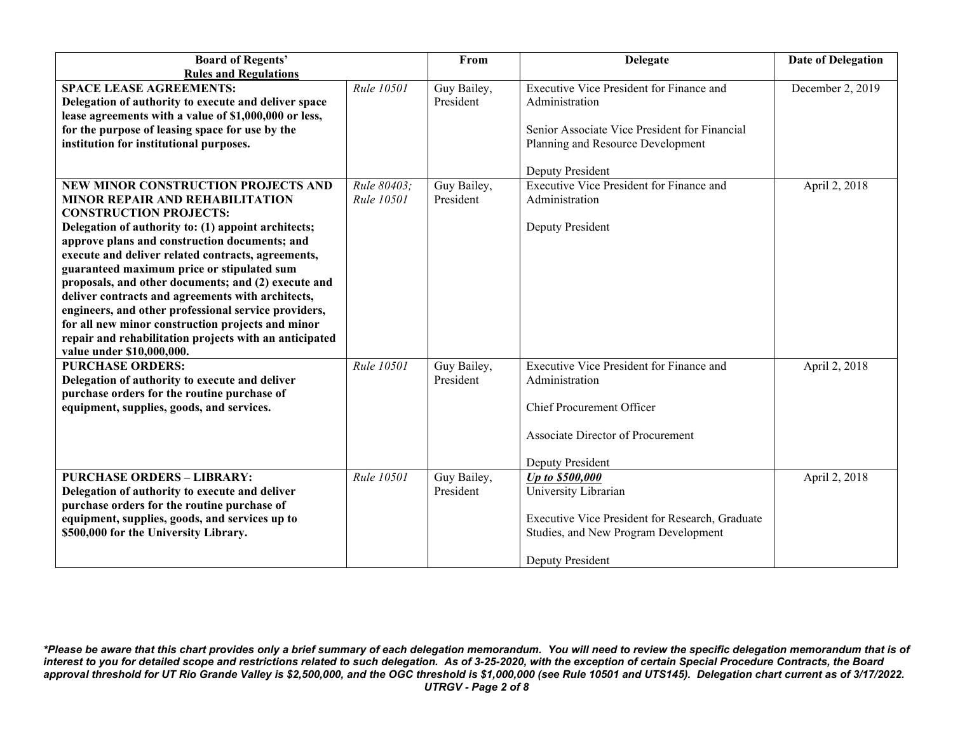| <b>Board of Regents'</b>                                                                                                                                                                                                                                                                                                                                                                                                                                                                                                                                                                                                                   |                           | From                     | <b>Delegate</b>                                                                                                                                         | <b>Date of Delegation</b> |
|--------------------------------------------------------------------------------------------------------------------------------------------------------------------------------------------------------------------------------------------------------------------------------------------------------------------------------------------------------------------------------------------------------------------------------------------------------------------------------------------------------------------------------------------------------------------------------------------------------------------------------------------|---------------------------|--------------------------|---------------------------------------------------------------------------------------------------------------------------------------------------------|---------------------------|
| <b>Rules and Regulations</b>                                                                                                                                                                                                                                                                                                                                                                                                                                                                                                                                                                                                               |                           |                          |                                                                                                                                                         |                           |
| <b>SPACE LEASE AGREEMENTS:</b><br>Delegation of authority to execute and deliver space<br>lease agreements with a value of \$1,000,000 or less,<br>for the purpose of leasing space for use by the                                                                                                                                                                                                                                                                                                                                                                                                                                         | Rule 10501                | Guy Bailey,<br>President | Executive Vice President for Finance and<br>Administration<br>Senior Associate Vice President for Financial                                             | December 2, 2019          |
| institution for institutional purposes.                                                                                                                                                                                                                                                                                                                                                                                                                                                                                                                                                                                                    |                           |                          | Planning and Resource Development<br>Deputy President                                                                                                   |                           |
| NEW MINOR CONSTRUCTION PROJECTS AND<br><b>MINOR REPAIR AND REHABILITATION</b><br><b>CONSTRUCTION PROJECTS:</b><br>Delegation of authority to: (1) appoint architects;<br>approve plans and construction documents; and<br>execute and deliver related contracts, agreements,<br>guaranteed maximum price or stipulated sum<br>proposals, and other documents; and (2) execute and<br>deliver contracts and agreements with architects,<br>engineers, and other professional service providers,<br>for all new minor construction projects and minor<br>repair and rehabilitation projects with an anticipated<br>value under \$10,000,000. | Rule 80403:<br>Rule 10501 | Guy Bailey,<br>President | Executive Vice President for Finance and<br>Administration<br>Deputy President                                                                          | April 2, 2018             |
| <b>PURCHASE ORDERS:</b><br>Delegation of authority to execute and deliver<br>purchase orders for the routine purchase of<br>equipment, supplies, goods, and services.                                                                                                                                                                                                                                                                                                                                                                                                                                                                      | Rule 10501                | Guy Bailey,<br>President | Executive Vice President for Finance and<br>Administration<br>Chief Procurement Officer<br><b>Associate Director of Procurement</b><br>Deputy President | April 2, 2018             |
| <b>PURCHASE ORDERS - LIBRARY:</b><br>Delegation of authority to execute and deliver<br>purchase orders for the routine purchase of<br>equipment, supplies, goods, and services up to<br>\$500,000 for the University Library.                                                                                                                                                                                                                                                                                                                                                                                                              | Rule 10501                | Guy Bailey,<br>President | Up to \$500,000<br>University Librarian<br>Executive Vice President for Research, Graduate<br>Studies, and New Program Development<br>Deputy President  | April 2, 2018             |

*\*Please be aware that this chart provides only a brief summary of each delegation memorandum. You will need to review the specific delegation memorandum that is of interest to you for detailed scope and restrictions related to such delegation. As of 3-25-2020, with the exception of certain Special Procedure Contracts, the Board approval threshold for UT Rio Grande Valley is \$2,500,000, and the OGC threshold is \$1,000,000 (see Rule 10501 and UTS145). Delegation chart current as of 3/17/2022. UTRGV - Page 2 of 8*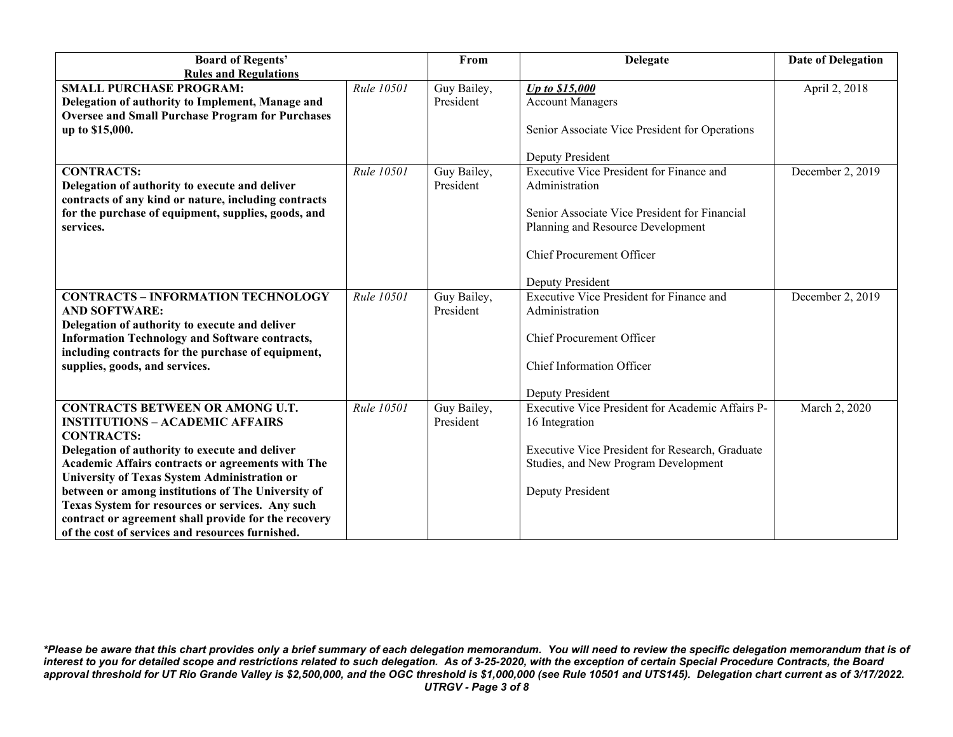| <b>Board of Regents'</b>                                |            | From        | <b>Delegate</b>                                  | <b>Date of Delegation</b> |
|---------------------------------------------------------|------------|-------------|--------------------------------------------------|---------------------------|
| <b>Rules and Regulations</b>                            |            |             |                                                  |                           |
| <b>SMALL PURCHASE PROGRAM:</b>                          | Rule 10501 | Guy Bailey, | Up to \$15,000                                   | April 2, 2018             |
| Delegation of authority to Implement, Manage and        |            | President   | <b>Account Managers</b>                          |                           |
| <b>Oversee and Small Purchase Program for Purchases</b> |            |             |                                                  |                           |
| up to \$15,000.                                         |            |             | Senior Associate Vice President for Operations   |                           |
|                                                         |            |             |                                                  |                           |
|                                                         |            |             | Deputy President                                 |                           |
| <b>CONTRACTS:</b>                                       | Rule 10501 | Guy Bailey, | Executive Vice President for Finance and         | December 2, 2019          |
| Delegation of authority to execute and deliver          |            | President   | Administration                                   |                           |
| contracts of any kind or nature, including contracts    |            |             |                                                  |                           |
| for the purchase of equipment, supplies, goods, and     |            |             | Senior Associate Vice President for Financial    |                           |
| services.                                               |            |             | Planning and Resource Development                |                           |
|                                                         |            |             |                                                  |                           |
|                                                         |            |             | Chief Procurement Officer                        |                           |
|                                                         |            |             | Deputy President                                 |                           |
| <b>CONTRACTS - INFORMATION TECHNOLOGY</b>               | Rule 10501 | Guy Bailey, | <b>Executive Vice President for Finance and</b>  | December 2, 2019          |
| <b>AND SOFTWARE:</b>                                    |            | President   | Administration                                   |                           |
| Delegation of authority to execute and deliver          |            |             |                                                  |                           |
| <b>Information Technology and Software contracts,</b>   |            |             | Chief Procurement Officer                        |                           |
| including contracts for the purchase of equipment,      |            |             |                                                  |                           |
| supplies, goods, and services.                          |            |             | Chief Information Officer                        |                           |
|                                                         |            |             |                                                  |                           |
|                                                         |            |             | <b>Deputy President</b>                          |                           |
| <b>CONTRACTS BETWEEN OR AMONG U.T.</b>                  | Rule 10501 | Guy Bailey, | Executive Vice President for Academic Affairs P- | March 2, 2020             |
| <b>INSTITUTIONS - ACADEMIC AFFAIRS</b>                  |            | President   | 16 Integration                                   |                           |
| <b>CONTRACTS:</b>                                       |            |             |                                                  |                           |
| Delegation of authority to execute and deliver          |            |             | Executive Vice President for Research, Graduate  |                           |
| Academic Affairs contracts or agreements with The       |            |             | Studies, and New Program Development             |                           |
| University of Texas System Administration or            |            |             |                                                  |                           |
| between or among institutions of The University of      |            |             | Deputy President                                 |                           |
| Texas System for resources or services. Any such        |            |             |                                                  |                           |
| contract or agreement shall provide for the recovery    |            |             |                                                  |                           |
| of the cost of services and resources furnished.        |            |             |                                                  |                           |

*\*Please be aware that this chart provides only a brief summary of each delegation memorandum. You will need to review the specific delegation memorandum that is of interest to you for detailed scope and restrictions related to such delegation. As of 3-25-2020, with the exception of certain Special Procedure Contracts, the Board approval threshold for UT Rio Grande Valley is \$2,500,000, and the OGC threshold is \$1,000,000 (see Rule 10501 and UTS145). Delegation chart current as of 3/17/2022. UTRGV - Page 3 of 8*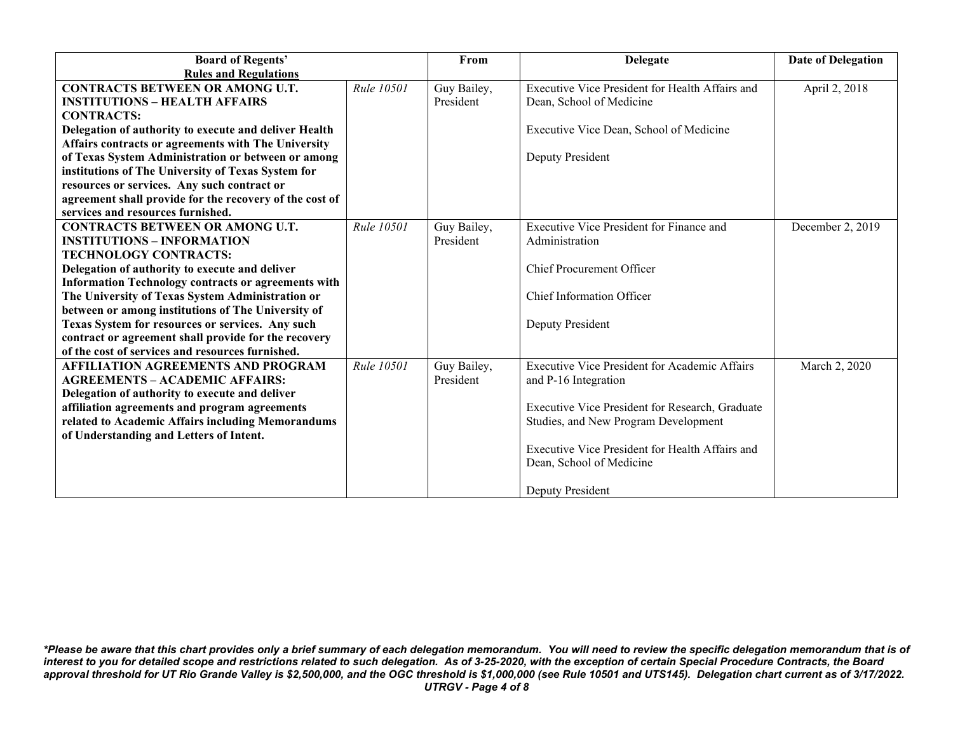| <b>Board of Regents'</b>                                   |                   | From        | <b>Delegate</b>                                      | <b>Date of Delegation</b> |
|------------------------------------------------------------|-------------------|-------------|------------------------------------------------------|---------------------------|
| <b>Rules and Regulations</b>                               |                   |             |                                                      |                           |
| <b>CONTRACTS BETWEEN OR AMONG U.T.</b>                     | Rule 10501        | Guy Bailey, | Executive Vice President for Health Affairs and      | April 2, 2018             |
| <b>INSTITUTIONS - HEALTH AFFAIRS</b>                       |                   | President   | Dean, School of Medicine                             |                           |
| <b>CONTRACTS:</b>                                          |                   |             |                                                      |                           |
| Delegation of authority to execute and deliver Health      |                   |             | Executive Vice Dean, School of Medicine              |                           |
| Affairs contracts or agreements with The University        |                   |             |                                                      |                           |
| of Texas System Administration or between or among         |                   |             | Deputy President                                     |                           |
| institutions of The University of Texas System for         |                   |             |                                                      |                           |
| resources or services. Any such contract or                |                   |             |                                                      |                           |
| agreement shall provide for the recovery of the cost of    |                   |             |                                                      |                           |
| services and resources furnished.                          |                   |             |                                                      |                           |
| <b>CONTRACTS BETWEEN OR AMONG U.T.</b>                     | <b>Rule 10501</b> | Guy Bailey, | Executive Vice President for Finance and             | December 2, 2019          |
| <b>INSTITUTIONS – INFORMATION</b>                          |                   | President   | Administration                                       |                           |
| <b>TECHNOLOGY CONTRACTS:</b>                               |                   |             |                                                      |                           |
| Delegation of authority to execute and deliver             |                   |             | <b>Chief Procurement Officer</b>                     |                           |
| <b>Information Technology contracts or agreements with</b> |                   |             |                                                      |                           |
| The University of Texas System Administration or           |                   |             | Chief Information Officer                            |                           |
| between or among institutions of The University of         |                   |             |                                                      |                           |
| Texas System for resources or services. Any such           |                   |             | Deputy President                                     |                           |
| contract or agreement shall provide for the recovery       |                   |             |                                                      |                           |
| of the cost of services and resources furnished.           |                   |             |                                                      |                           |
| <b>AFFILIATION AGREEMENTS AND PROGRAM</b>                  | Rule 10501        | Guy Bailey, | <b>Executive Vice President for Academic Affairs</b> | March 2, 2020             |
| <b>AGREEMENTS - ACADEMIC AFFAIRS:</b>                      |                   | President   | and P-16 Integration                                 |                           |
| Delegation of authority to execute and deliver             |                   |             |                                                      |                           |
| affiliation agreements and program agreements              |                   |             | Executive Vice President for Research, Graduate      |                           |
| related to Academic Affairs including Memorandums          |                   |             | Studies, and New Program Development                 |                           |
| of Understanding and Letters of Intent.                    |                   |             |                                                      |                           |
|                                                            |                   |             | Executive Vice President for Health Affairs and      |                           |
|                                                            |                   |             | Dean, School of Medicine                             |                           |
|                                                            |                   |             |                                                      |                           |
|                                                            |                   |             | Deputy President                                     |                           |

*\*Please be aware that this chart provides only a brief summary of each delegation memorandum. You will need to review the specific delegation memorandum that is of interest to you for detailed scope and restrictions related to such delegation. As of 3-25-2020, with the exception of certain Special Procedure Contracts, the Board approval threshold for UT Rio Grande Valley is \$2,500,000, and the OGC threshold is \$1,000,000 (see Rule 10501 and UTS145). Delegation chart current as of 3/17/2022. UTRGV - Page 4 of 8*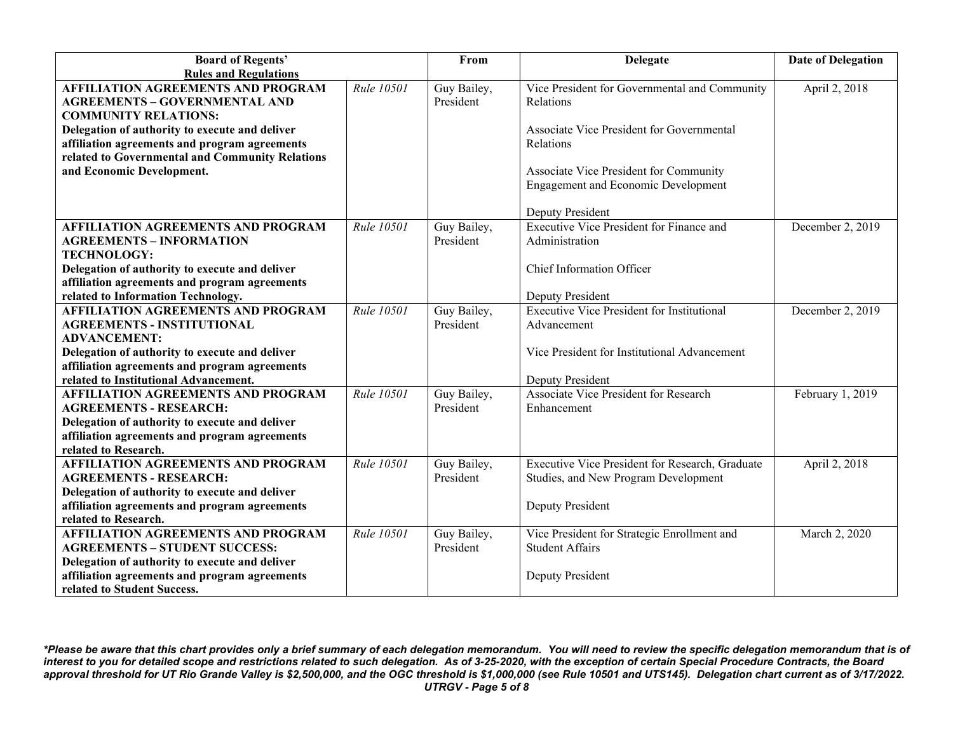| <b>Board of Regents'</b>                                                                        |            | From                     | <b>Delegate</b>                                                       | <b>Date of Delegation</b> |
|-------------------------------------------------------------------------------------------------|------------|--------------------------|-----------------------------------------------------------------------|---------------------------|
| <b>Rules and Regulations</b>                                                                    |            |                          |                                                                       |                           |
| <b>AFFILIATION AGREEMENTS AND PROGRAM</b>                                                       | Rule 10501 | Guy Bailey,              | Vice President for Governmental and Community                         | April 2, 2018             |
| <b>AGREEMENTS - GOVERNMENTAL AND</b>                                                            |            | President                | Relations                                                             |                           |
| <b>COMMUNITY RELATIONS:</b>                                                                     |            |                          |                                                                       |                           |
| Delegation of authority to execute and deliver                                                  |            |                          | Associate Vice President for Governmental                             |                           |
| affiliation agreements and program agreements                                                   |            |                          | Relations                                                             |                           |
| related to Governmental and Community Relations                                                 |            |                          |                                                                       |                           |
| and Economic Development.                                                                       |            |                          | Associate Vice President for Community                                |                           |
|                                                                                                 |            |                          | <b>Engagement and Economic Development</b>                            |                           |
|                                                                                                 |            |                          |                                                                       |                           |
|                                                                                                 |            |                          | Deputy President                                                      |                           |
| <b>AFFILIATION AGREEMENTS AND PROGRAM</b>                                                       | Rule 10501 | Guy Bailey,              | Executive Vice President for Finance and                              | December 2, 2019          |
| <b>AGREEMENTS - INFORMATION</b>                                                                 |            | President                | Administration                                                        |                           |
| <b>TECHNOLOGY:</b>                                                                              |            |                          |                                                                       |                           |
| Delegation of authority to execute and deliver                                                  |            |                          | Chief Information Officer                                             |                           |
| affiliation agreements and program agreements                                                   |            |                          |                                                                       |                           |
| related to Information Technology.                                                              |            |                          | Deputy President                                                      |                           |
| <b>AFFILIATION AGREEMENTS AND PROGRAM</b>                                                       | Rule 10501 | Guy Bailey,              | <b>Executive Vice President for Institutional</b>                     | December 2, 2019          |
| <b>AGREEMENTS - INSTITUTIONAL</b>                                                               |            | President                | Advancement                                                           |                           |
| <b>ADVANCEMENT:</b>                                                                             |            |                          |                                                                       |                           |
| Delegation of authority to execute and deliver                                                  |            |                          | Vice President for Institutional Advancement                          |                           |
| affiliation agreements and program agreements                                                   |            |                          |                                                                       |                           |
| related to Institutional Advancement.                                                           |            |                          | Deputy President                                                      |                           |
| <b>AFFILIATION AGREEMENTS AND PROGRAM</b>                                                       | Rule 10501 | Guy Bailey,              | Associate Vice President for Research                                 | February 1, 2019          |
| <b>AGREEMENTS - RESEARCH:</b>                                                                   |            | President                | Enhancement                                                           |                           |
| Delegation of authority to execute and deliver                                                  |            |                          |                                                                       |                           |
| affiliation agreements and program agreements                                                   |            |                          |                                                                       |                           |
| related to Research.                                                                            |            |                          |                                                                       |                           |
| <b>AFFILIATION AGREEMENTS AND PROGRAM</b>                                                       | Rule 10501 | Guy Bailey,              | Executive Vice President for Research, Graduate                       | April 2, 2018             |
| <b>AGREEMENTS - RESEARCH:</b>                                                                   |            | President                | Studies, and New Program Development                                  |                           |
| Delegation of authority to execute and deliver                                                  |            |                          |                                                                       |                           |
| affiliation agreements and program agreements                                                   |            |                          | Deputy President                                                      |                           |
| related to Research.                                                                            |            |                          |                                                                       |                           |
| <b>AFFILIATION AGREEMENTS AND PROGRAM</b>                                                       | Rule 10501 | Guy Bailey,<br>President | Vice President for Strategic Enrollment and<br><b>Student Affairs</b> | March 2, 2020             |
| <b>AGREEMENTS - STUDENT SUCCESS:</b>                                                            |            |                          |                                                                       |                           |
| Delegation of authority to execute and deliver<br>affiliation agreements and program agreements |            |                          | Deputy President                                                      |                           |
| related to Student Success.                                                                     |            |                          |                                                                       |                           |
|                                                                                                 |            |                          |                                                                       |                           |

*\*Please be aware that this chart provides only a brief summary of each delegation memorandum. You will need to review the specific delegation memorandum that is of interest to you for detailed scope and restrictions related to such delegation. As of 3-25-2020, with the exception of certain Special Procedure Contracts, the Board approval threshold for UT Rio Grande Valley is \$2,500,000, and the OGC threshold is \$1,000,000 (see Rule 10501 and UTS145). Delegation chart current as of 3/17/2022. UTRGV - Page 5 of 8*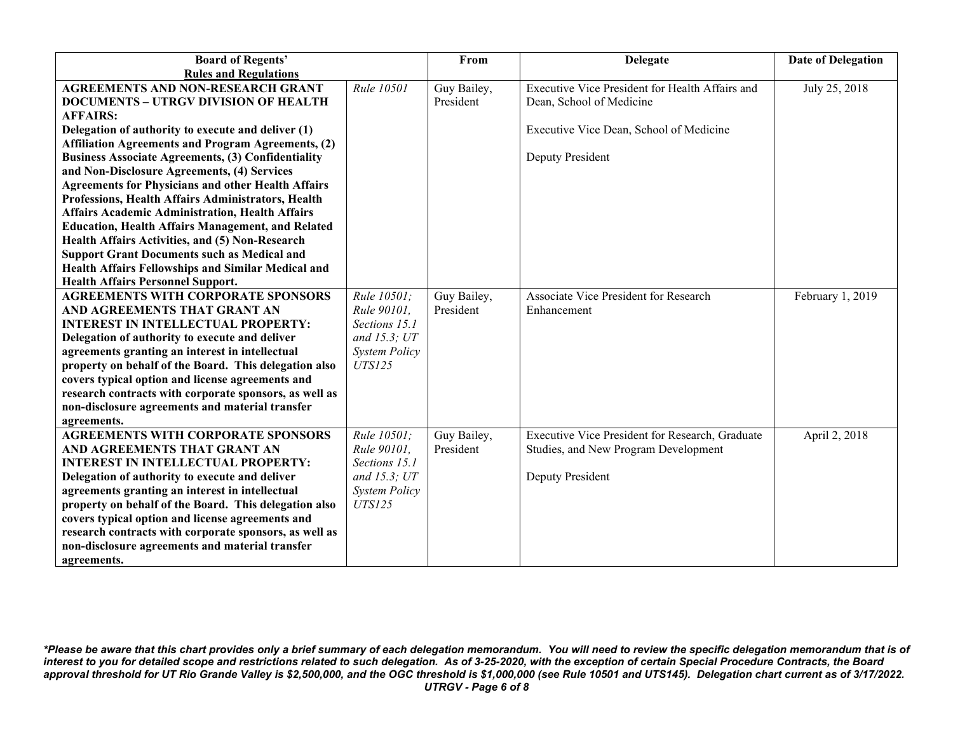| <b>Board of Regents'</b>                                  |                          | From        | <b>Delegate</b>                                 | <b>Date of Delegation</b> |
|-----------------------------------------------------------|--------------------------|-------------|-------------------------------------------------|---------------------------|
| <b>Rules and Regulations</b>                              |                          |             |                                                 |                           |
| <b>AGREEMENTS AND NON-RESEARCH GRANT</b>                  | Rule 10501               | Guy Bailey, | Executive Vice President for Health Affairs and | July 25, 2018             |
| <b>DOCUMENTS - UTRGV DIVISION OF HEALTH</b>               |                          | President   | Dean, School of Medicine                        |                           |
| <b>AFFAIRS:</b>                                           |                          |             |                                                 |                           |
| Delegation of authority to execute and deliver (1)        |                          |             | Executive Vice Dean, School of Medicine         |                           |
| <b>Affiliation Agreements and Program Agreements, (2)</b> |                          |             |                                                 |                           |
| <b>Business Associate Agreements, (3) Confidentiality</b> |                          |             | Deputy President                                |                           |
| and Non-Disclosure Agreements, (4) Services               |                          |             |                                                 |                           |
| <b>Agreements for Physicians and other Health Affairs</b> |                          |             |                                                 |                           |
| Professions, Health Affairs Administrators, Health        |                          |             |                                                 |                           |
| <b>Affairs Academic Administration, Health Affairs</b>    |                          |             |                                                 |                           |
| <b>Education, Health Affairs Management, and Related</b>  |                          |             |                                                 |                           |
| Health Affairs Activities, and (5) Non-Research           |                          |             |                                                 |                           |
| <b>Support Grant Documents such as Medical and</b>        |                          |             |                                                 |                           |
| Health Affairs Fellowships and Similar Medical and        |                          |             |                                                 |                           |
| <b>Health Affairs Personnel Support.</b>                  |                          |             |                                                 |                           |
| <b>AGREEMENTS WITH CORPORATE SPONSORS</b>                 | $\overline{Rule}$ 10501; | Guy Bailey, | Associate Vice President for Research           | February 1, 2019          |
| AND AGREEMENTS THAT GRANT AN                              | Rule 90101,              | President   | Enhancement                                     |                           |
| <b>INTEREST IN INTELLECTUAL PROPERTY:</b>                 | Sections 15.1            |             |                                                 |                           |
| Delegation of authority to execute and deliver            | and $15.3$ ; $UT$        |             |                                                 |                           |
| agreements granting an interest in intellectual           | <b>System Policy</b>     |             |                                                 |                           |
| property on behalf of the Board. This delegation also     | <b>UTS125</b>            |             |                                                 |                           |
| covers typical option and license agreements and          |                          |             |                                                 |                           |
| research contracts with corporate sponsors, as well as    |                          |             |                                                 |                           |
| non-disclosure agreements and material transfer           |                          |             |                                                 |                           |
| agreements.                                               |                          |             |                                                 |                           |
| <b>AGREEMENTS WITH CORPORATE SPONSORS</b>                 | Rule 10501;              | Guy Bailey, | Executive Vice President for Research, Graduate | April 2, 2018             |
| AND AGREEMENTS THAT GRANT AN                              | Rule 90101,              | President   | Studies, and New Program Development            |                           |
| <b>INTEREST IN INTELLECTUAL PROPERTY:</b>                 | Sections 15.1            |             |                                                 |                           |
| Delegation of authority to execute and deliver            | and $15.3$ ; $UT$        |             | Deputy President                                |                           |
| agreements granting an interest in intellectual           | <b>System Policy</b>     |             |                                                 |                           |
| property on behalf of the Board. This delegation also     | <b>UTS125</b>            |             |                                                 |                           |
| covers typical option and license agreements and          |                          |             |                                                 |                           |
| research contracts with corporate sponsors, as well as    |                          |             |                                                 |                           |
| non-disclosure agreements and material transfer           |                          |             |                                                 |                           |
| agreements.                                               |                          |             |                                                 |                           |

*\*Please be aware that this chart provides only a brief summary of each delegation memorandum. You will need to review the specific delegation memorandum that is of interest to you for detailed scope and restrictions related to such delegation. As of 3-25-2020, with the exception of certain Special Procedure Contracts, the Board approval threshold for UT Rio Grande Valley is \$2,500,000, and the OGC threshold is \$1,000,000 (see Rule 10501 and UTS145). Delegation chart current as of 3/17/2022. UTRGV - Page 6 of 8*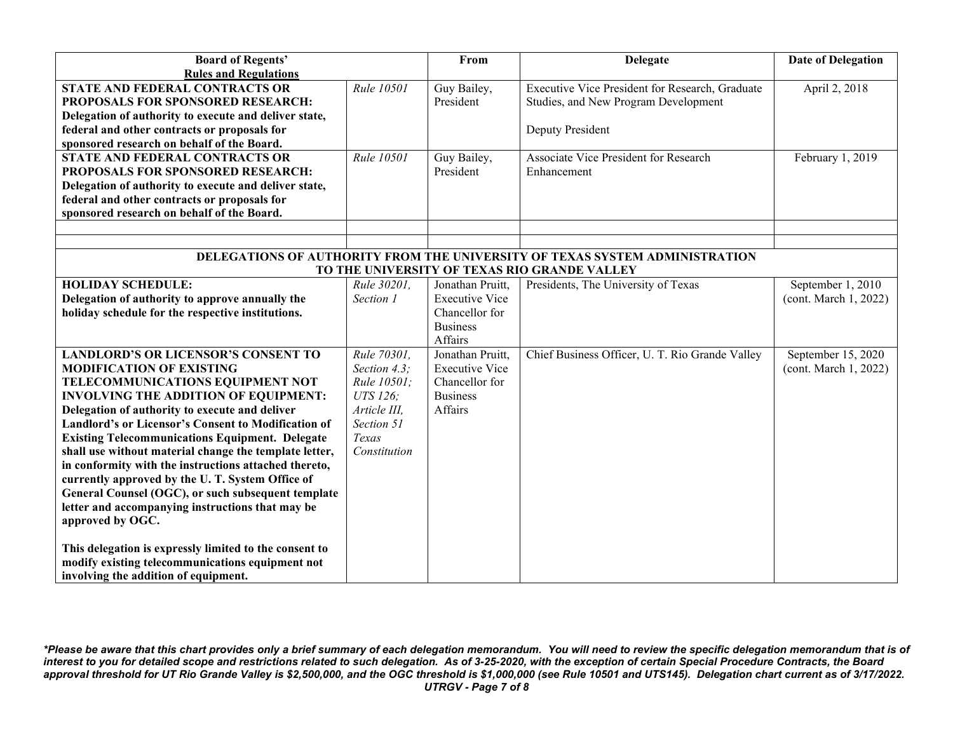| <b>Board of Regents'</b>                                   |              | From                  | <b>Delegate</b>                                                             | <b>Date of Delegation</b> |
|------------------------------------------------------------|--------------|-----------------------|-----------------------------------------------------------------------------|---------------------------|
| <b>Rules and Regulations</b>                               |              |                       |                                                                             |                           |
| <b>STATE AND FEDERAL CONTRACTS OR</b>                      | Rule 10501   | Guy Bailey,           | Executive Vice President for Research, Graduate                             | April 2, 2018             |
| PROPOSALS FOR SPONSORED RESEARCH:                          |              | President             | Studies, and New Program Development                                        |                           |
| Delegation of authority to execute and deliver state,      |              |                       |                                                                             |                           |
| federal and other contracts or proposals for               |              |                       | Deputy President                                                            |                           |
| sponsored research on behalf of the Board.                 |              |                       |                                                                             |                           |
| STATE AND FEDERAL CONTRACTS OR                             | Rule 10501   | Guy Bailey,           | Associate Vice President for Research                                       | February 1, 2019          |
| PROPOSALS FOR SPONSORED RESEARCH:                          |              | President             | Enhancement                                                                 |                           |
| Delegation of authority to execute and deliver state,      |              |                       |                                                                             |                           |
| federal and other contracts or proposals for               |              |                       |                                                                             |                           |
| sponsored research on behalf of the Board.                 |              |                       |                                                                             |                           |
|                                                            |              |                       |                                                                             |                           |
|                                                            |              |                       |                                                                             |                           |
|                                                            |              |                       | DELEGATIONS OF AUTHORITY FROM THE UNIVERSITY OF TEXAS SYSTEM ADMINISTRATION |                           |
|                                                            |              |                       | TO THE UNIVERSITY OF TEXAS RIO GRANDE VALLEY                                |                           |
| <b>HOLIDAY SCHEDULE:</b>                                   | Rule 30201,  | Jonathan Pruitt,      | Presidents, The University of Texas                                         | September 1, 2010         |
| Delegation of authority to approve annually the            | Section 1    | <b>Executive Vice</b> |                                                                             | (cont. March 1, 2022)     |
| holiday schedule for the respective institutions.          |              | Chancellor for        |                                                                             |                           |
|                                                            |              | <b>Business</b>       |                                                                             |                           |
|                                                            |              | Affairs               |                                                                             |                           |
| <b>LANDLORD'S OR LICENSOR'S CONSENT TO</b>                 | Rule 70301,  | Jonathan Pruitt,      | Chief Business Officer, U. T. Rio Grande Valley                             | September 15, 2020        |
| <b>MODIFICATION OF EXISTING</b>                            | Section 4.3; | <b>Executive Vice</b> |                                                                             | (cont. March 1, 2022)     |
| TELECOMMUNICATIONS EQUIPMENT NOT                           | Rule 10501;  | Chancellor for        |                                                                             |                           |
| <b>INVOLVING THE ADDITION OF EQUIPMENT:</b>                | UTS 126;     | <b>Business</b>       |                                                                             |                           |
| Delegation of authority to execute and deliver             | Article III, | Affairs               |                                                                             |                           |
| <b>Landlord's or Licensor's Consent to Modification of</b> | Section 51   |                       |                                                                             |                           |
| <b>Existing Telecommunications Equipment. Delegate</b>     | Texas        |                       |                                                                             |                           |
| shall use without material change the template letter,     | Constitution |                       |                                                                             |                           |
| in conformity with the instructions attached thereto,      |              |                       |                                                                             |                           |
| currently approved by the U.T. System Office of            |              |                       |                                                                             |                           |
| General Counsel (OGC), or such subsequent template         |              |                       |                                                                             |                           |
| letter and accompanying instructions that may be           |              |                       |                                                                             |                           |
| approved by OGC.                                           |              |                       |                                                                             |                           |
|                                                            |              |                       |                                                                             |                           |
| This delegation is expressly limited to the consent to     |              |                       |                                                                             |                           |
| modify existing telecommunications equipment not           |              |                       |                                                                             |                           |
| involving the addition of equipment.                       |              |                       |                                                                             |                           |

*\*Please be aware that this chart provides only a brief summary of each delegation memorandum. You will need to review the specific delegation memorandum that is of interest to you for detailed scope and restrictions related to such delegation. As of 3-25-2020, with the exception of certain Special Procedure Contracts, the Board approval threshold for UT Rio Grande Valley is \$2,500,000, and the OGC threshold is \$1,000,000 (see Rule 10501 and UTS145). Delegation chart current as of 3/17/2022. UTRGV - Page 7 of 8*